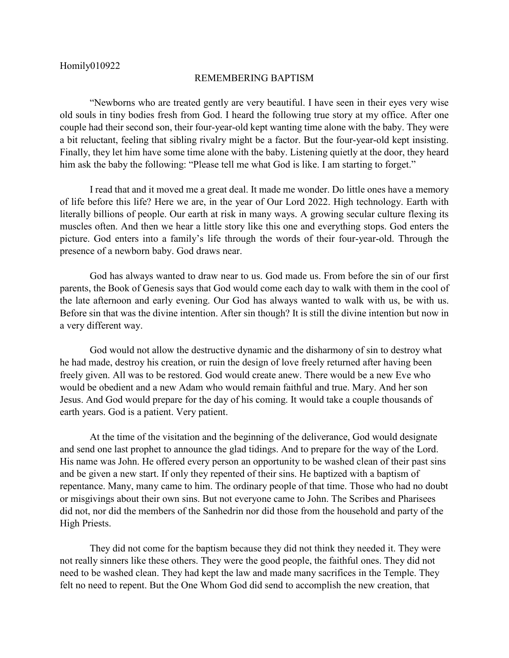## REMEMBERING BAPTISM

"Newborns who are treated gently are very beautiful. I have seen in their eyes very wise old souls in tiny bodies fresh from God. I heard the following true story at my office. After one couple had their second son, their four-year-old kept wanting time alone with the baby. They were a bit reluctant, feeling that sibling rivalry might be a factor. But the four-year-old kept insisting. Finally, they let him have some time alone with the baby. Listening quietly at the door, they heard him ask the baby the following: "Please tell me what God is like. I am starting to forget."

I read that and it moved me a great deal. It made me wonder. Do little ones have a memory of life before this life? Here we are, in the year of Our Lord 2022. High technology. Earth with literally billions of people. Our earth at risk in many ways. A growing secular culture flexing its muscles often. And then we hear a little story like this one and everything stops. God enters the picture. God enters into a family's life through the words of their four-year-old. Through the presence of a newborn baby. God draws near.

God has always wanted to draw near to us. God made us. From before the sin of our first parents, the Book of Genesis says that God would come each day to walk with them in the cool of the late afternoon and early evening. Our God has always wanted to walk with us, be with us. Before sin that was the divine intention. After sin though? It is still the divine intention but now in a very different way.

God would not allow the destructive dynamic and the disharmony of sin to destroy what he had made, destroy his creation, or ruin the design of love freely returned after having been freely given. All was to be restored. God would create anew. There would be a new Eve who would be obedient and a new Adam who would remain faithful and true. Mary. And her son Jesus. And God would prepare for the day of his coming. It would take a couple thousands of earth years. God is a patient. Very patient.

At the time of the visitation and the beginning of the deliverance, God would designate and send one last prophet to announce the glad tidings. And to prepare for the way of the Lord. His name was John. He offered every person an opportunity to be washed clean of their past sins and be given a new start. If only they repented of their sins. He baptized with a baptism of repentance. Many, many came to him. The ordinary people of that time. Those who had no doubt or misgivings about their own sins. But not everyone came to John. The Scribes and Pharisees did not, nor did the members of the Sanhedrin nor did those from the household and party of the High Priests.

They did not come for the baptism because they did not think they needed it. They were not really sinners like these others. They were the good people, the faithful ones. They did not need to be washed clean. They had kept the law and made many sacrifices in the Temple. They felt no need to repent. But the One Whom God did send to accomplish the new creation, that